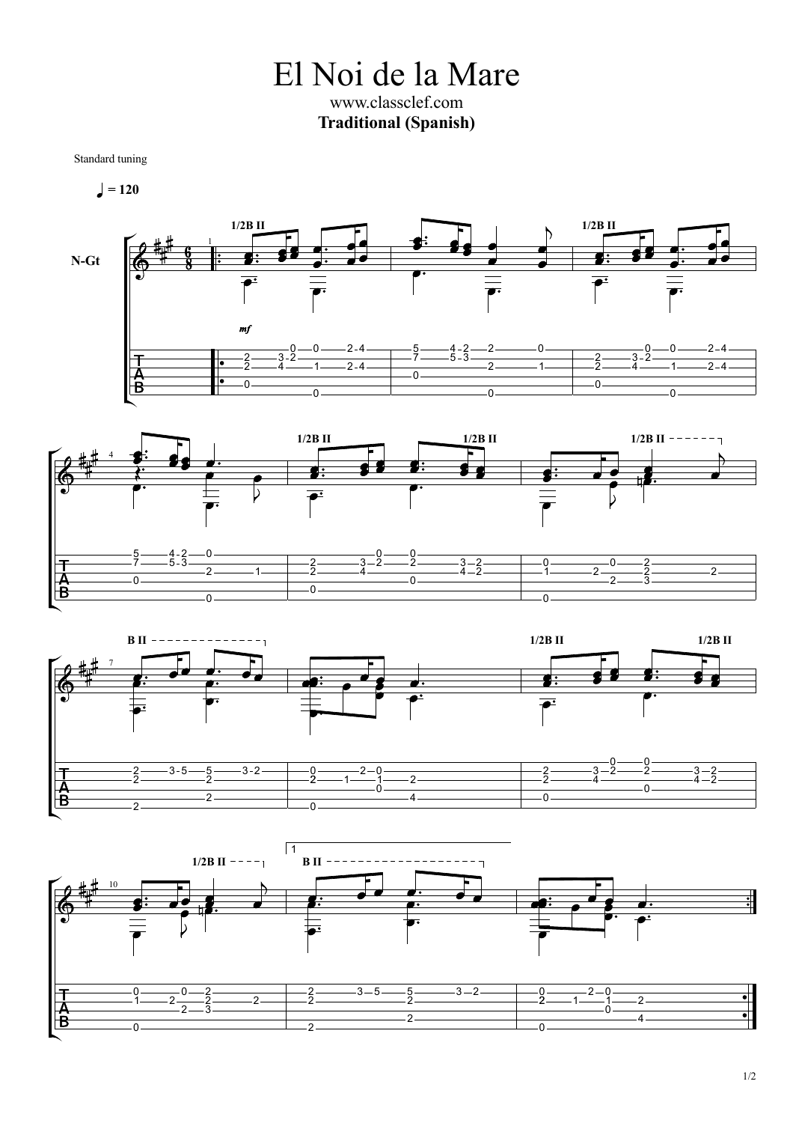El Noi de la Mare www.classclef.com **Traditional (Spanish)**

Standard tuning

$$
\blacksquare = 120
$$